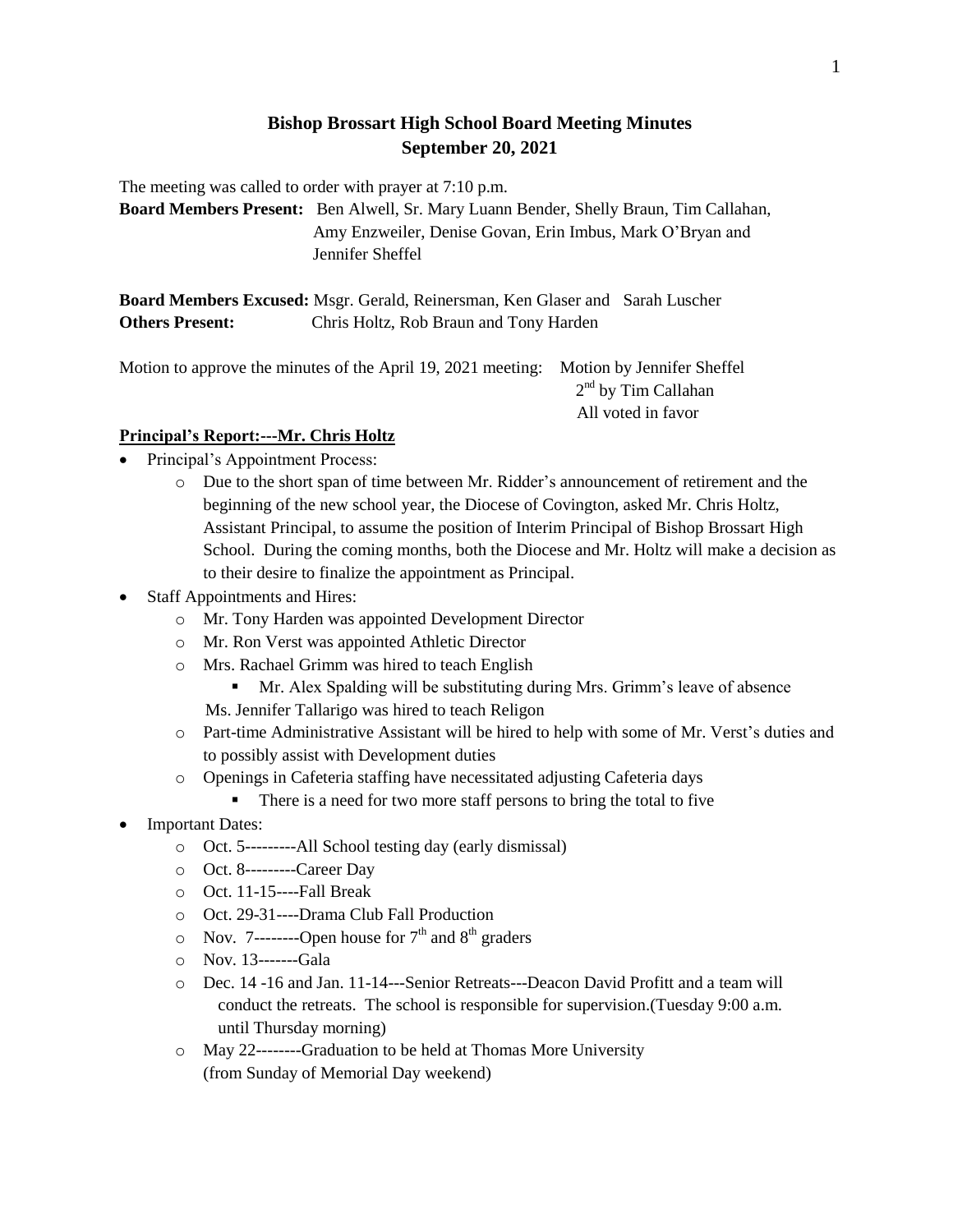# **Bishop Brossart High School Board Meeting Minutes September 20, 2021**

The meeting was called to order with prayer at 7:10 p.m.

**Board Members Present:** Ben Alwell, Sr. Mary Luann Bender, Shelly Braun, Tim Callahan, Amy Enzweiler, Denise Govan, Erin Imbus, Mark O'Bryan and Jennifer Sheffel

**Board Members Excused:** Msgr. Gerald, Reinersman, Ken Glaser and Sarah Luscher **Others Present:** Chris Holtz, Rob Braun and Tony Harden

Motion to approve the minutes of the April 19, 2021 meeting: Motion by Jennifer Sheffel 2<sup>nd</sup> by Tim Callahan All voted in favor

### **Principal's Report:---Mr. Chris Holtz**

- Principal's Appointment Process:
	- o Due to the short span of time between Mr. Ridder's announcement of retirement and the beginning of the new school year, the Diocese of Covington, asked Mr. Chris Holtz, Assistant Principal, to assume the position of Interim Principal of Bishop Brossart High School. During the coming months, both the Diocese and Mr. Holtz will make a decision as to their desire to finalize the appointment as Principal.
- Staff Appointments and Hires:
	- o Mr. Tony Harden was appointed Development Director
	- o Mr. Ron Verst was appointed Athletic Director
	- o Mrs. Rachael Grimm was hired to teach English
		- Mr. Alex Spalding will be substituting during Mrs. Grimm's leave of absence Ms. Jennifer Tallarigo was hired to teach Religon
	- o Part-time Administrative Assistant will be hired to help with some of Mr. Verst's duties and to possibly assist with Development duties
	- o Openings in Cafeteria staffing have necessitated adjusting Cafeteria days
		- There is a need for two more staff persons to bring the total to five
- Important Dates:
	- o Oct. 5---------All School testing day (early dismissal)
	- o Oct. 8---------Career Day
	- o Oct. 11-15----Fall Break
	- o Oct. 29-31----Drama Club Fall Production
	- $\circ$  Nov. 7---------Open house for 7<sup>th</sup> and 8<sup>th</sup> graders
	- o Nov. 13-------Gala
	- o Dec. 14 -16 and Jan. 11-14---Senior Retreats---Deacon David Profitt and a team will conduct the retreats. The school is responsible for supervision.(Tuesday 9:00 a.m. until Thursday morning)
	- o May 22--------Graduation to be held at Thomas More University (from Sunday of Memorial Day weekend)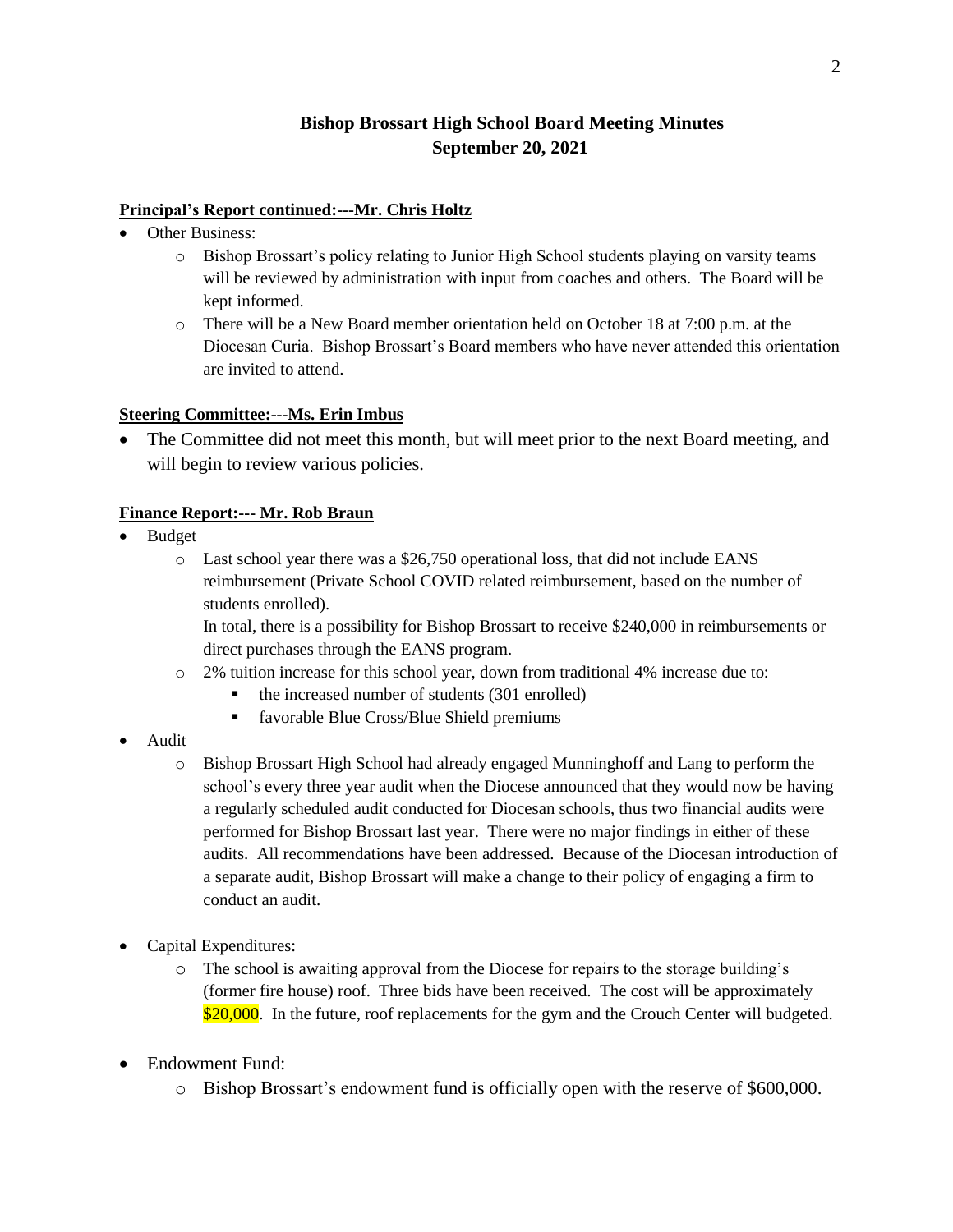# **Bishop Brossart High School Board Meeting Minutes September 20, 2021**

#### **Principal's Report continued:---Mr. Chris Holtz**

- Other Business:
	- o Bishop Brossart's policy relating to Junior High School students playing on varsity teams will be reviewed by administration with input from coaches and others. The Board will be kept informed.
	- o There will be a New Board member orientation held on October 18 at 7:00 p.m. at the Diocesan Curia. Bishop Brossart's Board members who have never attended this orientation are invited to attend.

#### **Steering Committee:---Ms. Erin Imbus**

• The Committee did not meet this month, but will meet prior to the next Board meeting, and will begin to review various policies.

#### **Finance Report:--- Mr. Rob Braun**

- Budget
	- o Last school year there was a \$26,750 operational loss, that did not include EANS reimbursement (Private School COVID related reimbursement, based on the number of students enrolled).

In total, there is a possibility for Bishop Brossart to receive \$240,000 in reimbursements or direct purchases through the EANS program.

- o 2% tuition increase for this school year, down from traditional 4% increase due to:
	- the increased number of students (301 enrolled)
	- favorable Blue Cross/Blue Shield premiums
- Audit
	- o Bishop Brossart High School had already engaged Munninghoff and Lang to perform the school's every three year audit when the Diocese announced that they would now be having a regularly scheduled audit conducted for Diocesan schools, thus two financial audits were performed for Bishop Brossart last year. There were no major findings in either of these audits. All recommendations have been addressed. Because of the Diocesan introduction of a separate audit, Bishop Brossart will make a change to their policy of engaging a firm to conduct an audit.
- Capital Expenditures:
	- o The school is awaiting approval from the Diocese for repairs to the storage building's (former fire house) roof. Three bids have been received. The cost will be approximately \$20,000. In the future, roof replacements for the gym and the Crouch Center will budgeted.
- Endowment Fund:
	- o Bishop Brossart's endowment fund is officially open with the reserve of \$600,000.